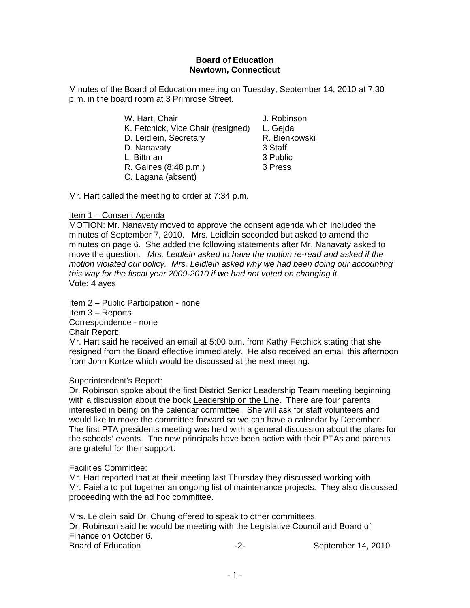#### **Board of Education Newtown, Connecticut**

Minutes of the Board of Education meeting on Tuesday, September 14, 2010 at 7:30 p.m. in the board room at 3 Primrose Street.

| W. Hart, Chair                     | J. Robinson   |
|------------------------------------|---------------|
| K. Fetchick, Vice Chair (resigned) | L. Gejda      |
| D. Leidlein, Secretary             | R. Bienkowski |
| D. Nanavaty                        | 3 Staff       |
| L. Bittman                         | 3 Public      |
| R. Gaines (8:48 p.m.)              | 3 Press       |
| C. Lagana (absent)                 |               |
|                                    |               |

Mr. Hart called the meeting to order at 7:34 p.m.

#### Item 1 – Consent Agenda

MOTION: Mr. Nanavaty moved to approve the consent agenda which included the minutes of September 7, 2010. Mrs. Leidlein seconded but asked to amend the minutes on page 6. She added the following statements after Mr. Nanavaty asked to move the question. *Mrs. Leidlein asked to have the motion re-read and asked if the motion violated our policy. Mrs. Leidlein asked why we had been doing our accounting this way for the fiscal year 2009-2010 if we had not voted on changing it.*  Vote: 4 ayes

Item 2 – Public Participation - none Item 3 – Reports Correspondence - none

Chair Report:

Mr. Hart said he received an email at 5:00 p.m. from Kathy Fetchick stating that she resigned from the Board effective immediately. He also received an email this afternoon from John Kortze which would be discussed at the next meeting.

#### Superintendent's Report:

Dr. Robinson spoke about the first District Senior Leadership Team meeting beginning with a discussion about the book Leadership on the Line. There are four parents interested in being on the calendar committee. She will ask for staff volunteers and would like to move the committee forward so we can have a calendar by December. The first PTA presidents meeting was held with a general discussion about the plans for the schools' events. The new principals have been active with their PTAs and parents are grateful for their support.

#### Facilities Committee:

Mr. Hart reported that at their meeting last Thursday they discussed working with Mr. Faiella to put together an ongoing list of maintenance projects. They also discussed proceeding with the ad hoc committee.

Mrs. Leidlein said Dr. Chung offered to speak to other committees. Dr. Robinson said he would be meeting with the Legislative Council and Board of Finance on October 6. Board of Education **Contact Contact Contact Contact Contact Contact Contact Contact Contact Contact Contact Contact Contact Contact Contact Contact Contact Contact Contact Contact Contact Contact Contact Contact Contact Co**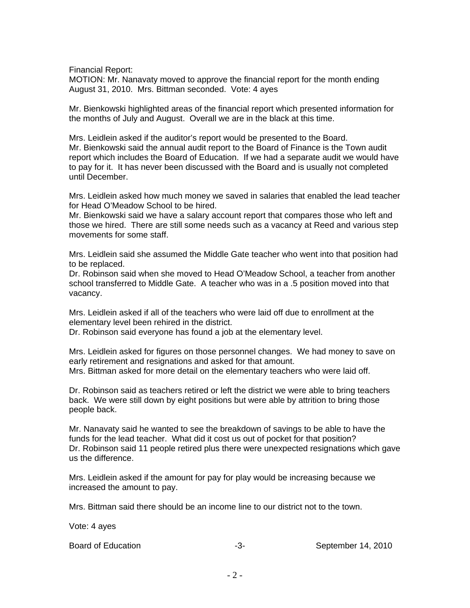Financial Report:

MOTION: Mr. Nanavaty moved to approve the financial report for the month ending August 31, 2010. Mrs. Bittman seconded. Vote: 4 ayes

Mr. Bienkowski highlighted areas of the financial report which presented information for the months of July and August. Overall we are in the black at this time.

Mrs. Leidlein asked if the auditor's report would be presented to the Board. Mr. Bienkowski said the annual audit report to the Board of Finance is the Town audit report which includes the Board of Education. If we had a separate audit we would have to pay for it. It has never been discussed with the Board and is usually not completed until December.

Mrs. Leidlein asked how much money we saved in salaries that enabled the lead teacher for Head O'Meadow School to be hired.

Mr. Bienkowski said we have a salary account report that compares those who left and those we hired. There are still some needs such as a vacancy at Reed and various step movements for some staff.

Mrs. Leidlein said she assumed the Middle Gate teacher who went into that position had to be replaced.

Dr. Robinson said when she moved to Head O'Meadow School, a teacher from another school transferred to Middle Gate. A teacher who was in a .5 position moved into that vacancy.

Mrs. Leidlein asked if all of the teachers who were laid off due to enrollment at the elementary level been rehired in the district.

Dr. Robinson said everyone has found a job at the elementary level.

Mrs. Leidlein asked for figures on those personnel changes. We had money to save on early retirement and resignations and asked for that amount. Mrs. Bittman asked for more detail on the elementary teachers who were laid off.

Dr. Robinson said as teachers retired or left the district we were able to bring teachers back. We were still down by eight positions but were able by attrition to bring those people back.

Mr. Nanavaty said he wanted to see the breakdown of savings to be able to have the funds for the lead teacher. What did it cost us out of pocket for that position? Dr. Robinson said 11 people retired plus there were unexpected resignations which gave us the difference.

Mrs. Leidlein asked if the amount for pay for play would be increasing because we increased the amount to pay.

Mrs. Bittman said there should be an income line to our district not to the town.

Vote: 4 ayes

| Board of Education |  | September 14, 2010 |
|--------------------|--|--------------------|
|--------------------|--|--------------------|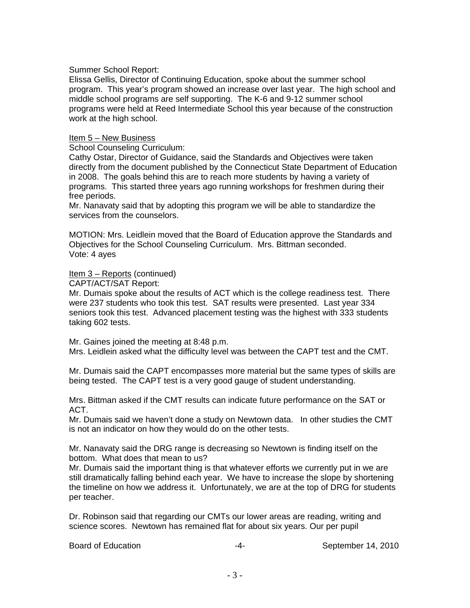#### Summer School Report:

Elissa Gellis, Director of Continuing Education, spoke about the summer school program. This year's program showed an increase over last year. The high school and middle school programs are self supporting. The K-6 and 9-12 summer school programs were held at Reed Intermediate School this year because of the construction work at the high school.

#### Item 5 – New Business

School Counseling Curriculum:

Cathy Ostar, Director of Guidance, said the Standards and Objectives were taken directly from the document published by the Connecticut State Department of Education in 2008. The goals behind this are to reach more students by having a variety of programs. This started three years ago running workshops for freshmen during their free periods.

Mr. Nanavaty said that by adopting this program we will be able to standardize the services from the counselors.

MOTION: Mrs. Leidlein moved that the Board of Education approve the Standards and Objectives for the School Counseling Curriculum. Mrs. Bittman seconded. Vote: 4 ayes

#### Item 3 – Reports (continued)

CAPT/ACT/SAT Report:

Mr. Dumais spoke about the results of ACT which is the college readiness test. There were 237 students who took this test. SAT results were presented. Last year 334 seniors took this test. Advanced placement testing was the highest with 333 students taking 602 tests.

Mr. Gaines joined the meeting at 8:48 p.m.

Mrs. Leidlein asked what the difficulty level was between the CAPT test and the CMT.

Mr. Dumais said the CAPT encompasses more material but the same types of skills are being tested. The CAPT test is a very good gauge of student understanding.

Mrs. Bittman asked if the CMT results can indicate future performance on the SAT or ACT.

Mr. Dumais said we haven't done a study on Newtown data. In other studies the CMT is not an indicator on how they would do on the other tests.

Mr. Nanavaty said the DRG range is decreasing so Newtown is finding itself on the bottom. What does that mean to us?

Mr. Dumais said the important thing is that whatever efforts we currently put in we are still dramatically falling behind each year. We have to increase the slope by shortening the timeline on how we address it. Unfortunately, we are at the top of DRG for students per teacher.

Dr. Robinson said that regarding our CMTs our lower areas are reading, writing and science scores. Newtown has remained flat for about six years. Our per pupil

Board of Education **Container 14** and the september 14, 2010 **September 14**, 2010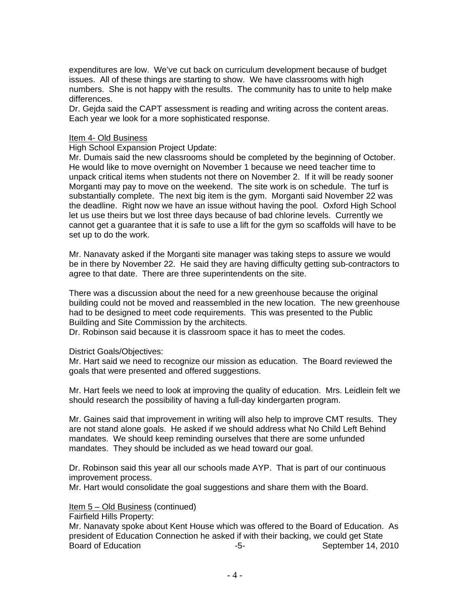expenditures are low. We've cut back on curriculum development because of budget issues. All of these things are starting to show. We have classrooms with high numbers. She is not happy with the results. The community has to unite to help make differences.

Dr. Gejda said the CAPT assessment is reading and writing across the content areas. Each year we look for a more sophisticated response.

#### Item 4- Old Business

High School Expansion Project Update:

Mr. Dumais said the new classrooms should be completed by the beginning of October. He would like to move overnight on November 1 because we need teacher time to unpack critical items when students not there on November 2. If it will be ready sooner Morganti may pay to move on the weekend. The site work is on schedule. The turf is substantially complete. The next big item is the gym. Morganti said November 22 was the deadline. Right now we have an issue without having the pool. Oxford High School let us use theirs but we lost three days because of bad chlorine levels. Currently we cannot get a guarantee that it is safe to use a lift for the gym so scaffolds will have to be set up to do the work.

Mr. Nanavaty asked if the Morganti site manager was taking steps to assure we would be in there by November 22. He said they are having difficulty getting sub-contractors to agree to that date. There are three superintendents on the site.

There was a discussion about the need for a new greenhouse because the original building could not be moved and reassembled in the new location. The new greenhouse had to be designed to meet code requirements. This was presented to the Public Building and Site Commission by the architects.

Dr. Robinson said because it is classroom space it has to meet the codes.

District Goals/Objectives:

Mr. Hart said we need to recognize our mission as education. The Board reviewed the goals that were presented and offered suggestions.

Mr. Hart feels we need to look at improving the quality of education. Mrs. Leidlein felt we should research the possibility of having a full-day kindergarten program.

Mr. Gaines said that improvement in writing will also help to improve CMT results. They are not stand alone goals. He asked if we should address what No Child Left Behind mandates. We should keep reminding ourselves that there are some unfunded mandates. They should be included as we head toward our goal.

Dr. Robinson said this year all our schools made AYP. That is part of our continuous improvement process.

Mr. Hart would consolidate the goal suggestions and share them with the Board.

Item 5 – Old Business (continued)

Fairfield Hills Property:

Mr. Nanavaty spoke about Kent House which was offered to the Board of Education. As president of Education Connection he asked if with their backing, we could get State Board of Education **-5-** September 14, 2010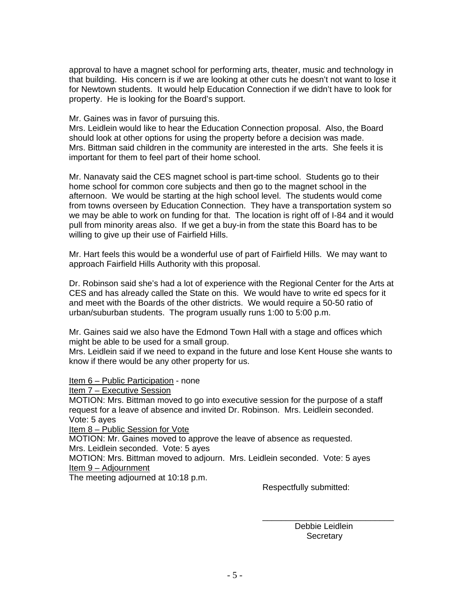approval to have a magnet school for performing arts, theater, music and technology in that building. His concern is if we are looking at other cuts he doesn't not want to lose it for Newtown students. It would help Education Connection if we didn't have to look for property. He is looking for the Board's support.

#### Mr. Gaines was in favor of pursuing this.

Mrs. Leidlein would like to hear the Education Connection proposal. Also, the Board should look at other options for using the property before a decision was made. Mrs. Bittman said children in the community are interested in the arts. She feels it is important for them to feel part of their home school.

Mr. Nanavaty said the CES magnet school is part-time school. Students go to their home school for common core subjects and then go to the magnet school in the afternoon. We would be starting at the high school level. The students would come from towns overseen by Education Connection. They have a transportation system so we may be able to work on funding for that. The location is right off of I-84 and it would pull from minority areas also. If we get a buy-in from the state this Board has to be willing to give up their use of Fairfield Hills.

Mr. Hart feels this would be a wonderful use of part of Fairfield Hills. We may want to approach Fairfield Hills Authority with this proposal.

Dr. Robinson said she's had a lot of experience with the Regional Center for the Arts at CES and has already called the State on this. We would have to write ed specs for it and meet with the Boards of the other districts. We would require a 50-50 ratio of urban/suburban students. The program usually runs 1:00 to 5:00 p.m.

Mr. Gaines said we also have the Edmond Town Hall with a stage and offices which might be able to be used for a small group.

Mrs. Leidlein said if we need to expand in the future and lose Kent House she wants to know if there would be any other property for us.

Item 6 – Public Participation - none

Item 7 – Executive Session

MOTION: Mrs. Bittman moved to go into executive session for the purpose of a staff request for a leave of absence and invited Dr. Robinson. Mrs. Leidlein seconded. Vote: 5 ayes

Item 8 – Public Session for Vote

MOTION: Mr. Gaines moved to approve the leave of absence as requested. Mrs. Leidlein seconded. Vote: 5 ayes

MOTION: Mrs. Bittman moved to adjourn. Mrs. Leidlein seconded. Vote: 5 ayes Item 9 – Adjournment

The meeting adjourned at 10:18 p.m.

Respectfully submitted:

 Debbie Leidlein **Secretary** 

 $\overline{\phantom{a}}$  , and the contract of the contract of the contract of the contract of the contract of the contract of the contract of the contract of the contract of the contract of the contract of the contract of the contrac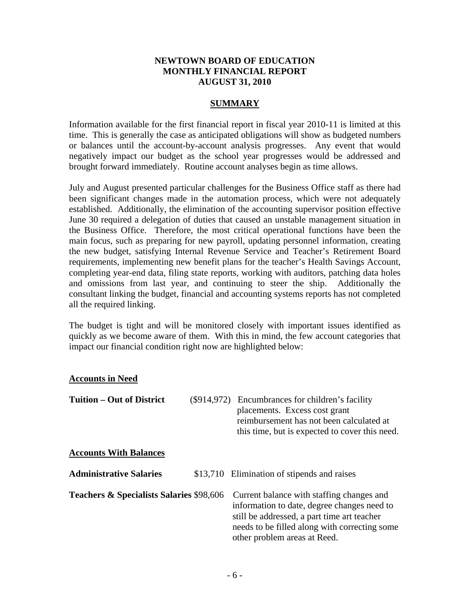#### **NEWTOWN BOARD OF EDUCATION MONTHLY FINANCIAL REPORT AUGUST 31, 2010**

#### **SUMMARY**

Information available for the first financial report in fiscal year 2010-11 is limited at this time. This is generally the case as anticipated obligations will show as budgeted numbers or balances until the account-by-account analysis progresses. Any event that would negatively impact our budget as the school year progresses would be addressed and brought forward immediately. Routine account analyses begin as time allows.

July and August presented particular challenges for the Business Office staff as there had been significant changes made in the automation process, which were not adequately established. Additionally, the elimination of the accounting supervisor position effective June 30 required a delegation of duties that caused an unstable management situation in the Business Office. Therefore, the most critical operational functions have been the main focus, such as preparing for new payroll, updating personnel information, creating the new budget, satisfying Internal Revenue Service and Teacher's Retirement Board requirements, implementing new benefit plans for the teacher's Health Savings Account, completing year-end data, filing state reports, working with auditors, patching data holes and omissions from last year, and continuing to steer the ship. Additionally the consultant linking the budget, financial and accounting systems reports has not completed all the required linking.

The budget is tight and will be monitored closely with important issues identified as quickly as we become aware of them. With this in mind, the few account categories that impact our financial condition right now are highlighted below:

#### **Accounts in Need**

| <b>Tuition – Out of District</b>                    | (\$914,972) Encumbrances for children's facility<br>placements. Excess cost grant<br>reimbursement has not been calculated at<br>this time, but is expected to cover this need.                                          |
|-----------------------------------------------------|--------------------------------------------------------------------------------------------------------------------------------------------------------------------------------------------------------------------------|
| <b>Accounts With Balances</b>                       |                                                                                                                                                                                                                          |
| <b>Administrative Salaries</b>                      | \$13,710 Elimination of stipends and raises                                                                                                                                                                              |
| <b>Teachers &amp; Specialists Salaries \$98,606</b> | Current balance with staffing changes and<br>information to date, degree changes need to<br>still be addressed, a part time art teacher<br>needs to be filled along with correcting some<br>other problem areas at Reed. |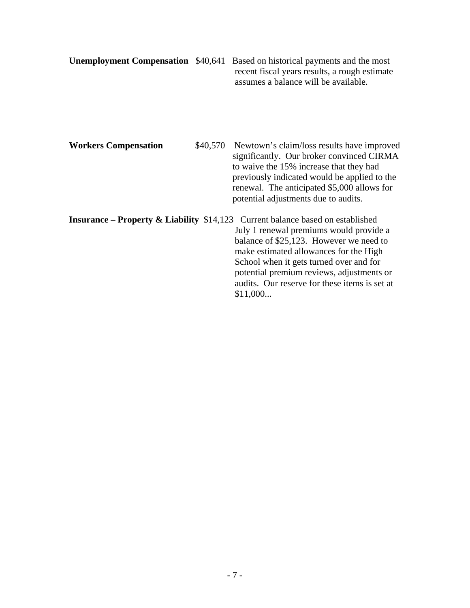|  | <b>Unemployment Compensation</b> \$40,641 Based on historical payments and the most |
|--|-------------------------------------------------------------------------------------|
|  | recent fiscal years results, a rough estimate                                       |
|  | assumes a balance will be available.                                                |

Workers Compensation \$40,570 Newtown's claim/loss results have improved significantly. Our broker convinced CIRMA to waive the 15% increase that they had previously indicated would be applied to the renewal. The anticipated \$5,000 allows for potential adjustments due to audits.

**Insurance – Property & Liability** \$14,123 Current balance based on established July 1 renewal premiums would provide a balance of \$25,123. However we need to make estimated allowances for the High School when it gets turned over and for potential premium reviews, adjustments or audits. Our reserve for these items is set at \$11,000...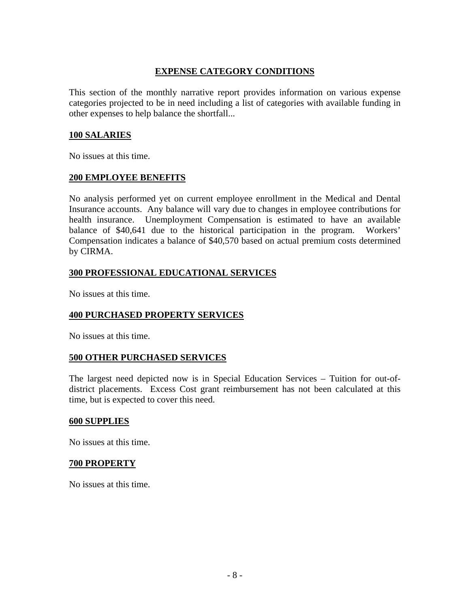## **EXPENSE CATEGORY CONDITIONS**

This section of the monthly narrative report provides information on various expense categories projected to be in need including a list of categories with available funding in other expenses to help balance the shortfall...

#### **100 SALARIES**

No issues at this time.

#### **200 EMPLOYEE BENEFITS**

No analysis performed yet on current employee enrollment in the Medical and Dental Insurance accounts. Any balance will vary due to changes in employee contributions for health insurance. Unemployment Compensation is estimated to have an available balance of \$40,641 due to the historical participation in the program. Workers' Compensation indicates a balance of \$40,570 based on actual premium costs determined by CIRMA.

## **300 PROFESSIONAL EDUCATIONAL SERVICES**

No issues at this time.

## **400 PURCHASED PROPERTY SERVICES**

No issues at this time.

## **500 OTHER PURCHASED SERVICES**

The largest need depicted now is in Special Education Services – Tuition for out-ofdistrict placements. Excess Cost grant reimbursement has not been calculated at this time, but is expected to cover this need.

#### **600 SUPPLIES**

No issues at this time.

#### **700 PROPERTY**

No issues at this time.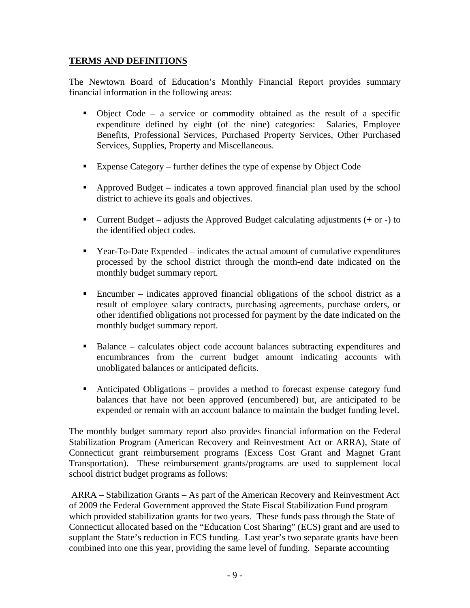## **TERMS AND DEFINITIONS**

The Newtown Board of Education's Monthly Financial Report provides summary financial information in the following areas:

- Object Code a service or commodity obtained as the result of a specific expenditure defined by eight (of the nine) categories: Salaries, Employee Benefits, Professional Services, Purchased Property Services, Other Purchased Services, Supplies, Property and Miscellaneous.
- Expense Category further defines the type of expense by Object Code
- Approved Budget indicates a town approved financial plan used by the school district to achieve its goals and objectives.
- Current Budget adjusts the Approved Budget calculating adjustments  $(+ or -)$  to the identified object codes.
- Year-To-Date Expended indicates the actual amount of cumulative expenditures processed by the school district through the month-end date indicated on the monthly budget summary report.
- Encumber indicates approved financial obligations of the school district as a result of employee salary contracts, purchasing agreements, purchase orders, or other identified obligations not processed for payment by the date indicated on the monthly budget summary report.
- Balance calculates object code account balances subtracting expenditures and encumbrances from the current budget amount indicating accounts with unobligated balances or anticipated deficits.
- Anticipated Obligations provides a method to forecast expense category fund balances that have not been approved (encumbered) but, are anticipated to be expended or remain with an account balance to maintain the budget funding level.

The monthly budget summary report also provides financial information on the Federal Stabilization Program (American Recovery and Reinvestment Act or ARRA), State of Connecticut grant reimbursement programs (Excess Cost Grant and Magnet Grant Transportation). These reimbursement grants/programs are used to supplement local school district budget programs as follows:

 ARRA – Stabilization Grants – As part of the American Recovery and Reinvestment Act of 2009 the Federal Government approved the State Fiscal Stabilization Fund program which provided stabilization grants for two years. These funds pass through the State of Connecticut allocated based on the "Education Cost Sharing" (ECS) grant and are used to supplant the State's reduction in ECS funding. Last year's two separate grants have been combined into one this year, providing the same level of funding. Separate accounting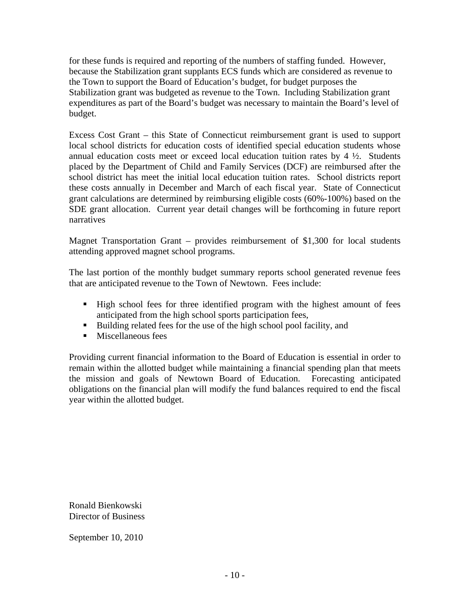for these funds is required and reporting of the numbers of staffing funded. However, because the Stabilization grant supplants ECS funds which are considered as revenue to the Town to support the Board of Education's budget, for budget purposes the Stabilization grant was budgeted as revenue to the Town. Including Stabilization grant expenditures as part of the Board's budget was necessary to maintain the Board's level of budget.

Excess Cost Grant – this State of Connecticut reimbursement grant is used to support local school districts for education costs of identified special education students whose annual education costs meet or exceed local education tuition rates by  $4\frac{1}{2}$ . Students placed by the Department of Child and Family Services (DCF) are reimbursed after the school district has meet the initial local education tuition rates. School districts report these costs annually in December and March of each fiscal year. State of Connecticut grant calculations are determined by reimbursing eligible costs (60%-100%) based on the SDE grant allocation. Current year detail changes will be forthcoming in future report narratives

Magnet Transportation Grant – provides reimbursement of \$1,300 for local students attending approved magnet school programs.

The last portion of the monthly budget summary reports school generated revenue fees that are anticipated revenue to the Town of Newtown. Fees include:

- High school fees for three identified program with the highest amount of fees anticipated from the high school sports participation fees,
- Building related fees for the use of the high school pool facility, and
- **Miscellaneous fees**

Providing current financial information to the Board of Education is essential in order to remain within the allotted budget while maintaining a financial spending plan that meets the mission and goals of Newtown Board of Education. Forecasting anticipated obligations on the financial plan will modify the fund balances required to end the fiscal year within the allotted budget.

Ronald Bienkowski Director of Business

September 10, 2010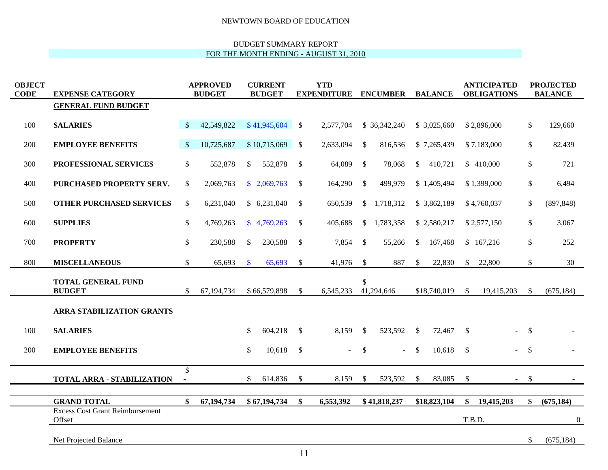#### BUDGET SUMMARY REPORT FOR THE MONTH ENDING - AUGUST 31, 2010

| <b>OBJECT</b><br><b>CODE</b> | <b>EXPENSE CATEGORY</b>                          | <b>APPROVED</b><br><b>BUDGET</b> |            | <b>CURRENT</b><br><b>BUDGET</b> |              | <b>YTD</b><br><b>EXPENDITURE ENCUMBER</b> |           |               |                |               | <b>BALANCE</b> | <b>ANTICIPATED</b><br><b>OBLIGATIONS</b> |             |               | <b>PROJECTED</b><br><b>BALANCE</b> |  |  |
|------------------------------|--------------------------------------------------|----------------------------------|------------|---------------------------------|--------------|-------------------------------------------|-----------|---------------|----------------|---------------|----------------|------------------------------------------|-------------|---------------|------------------------------------|--|--|
|                              | <b>GENERAL FUND BUDGET</b>                       |                                  |            |                                 |              |                                           |           |               |                |               |                |                                          |             |               |                                    |  |  |
| 100                          | <b>SALARIES</b>                                  | $\mathbb{S}$                     | 42,549,822 |                                 | \$41,945,604 | $\mathbf{\hat{S}}$                        | 2,577,704 |               | \$36,342,240   |               | \$3,025,660    |                                          | \$2,896,000 | $\mathsf{\$}$ | 129,660                            |  |  |
| 200                          | <b>EMPLOYEE BENEFITS</b>                         | <sup>\$</sup>                    | 10,725,687 |                                 | \$10,715,069 | <b>S</b>                                  | 2,633,094 | $\mathcal{S}$ | 816,536        |               | \$7,265,439    |                                          | \$7,183,000 | \$            | 82,439                             |  |  |
| 300                          | PROFESSIONAL SERVICES                            | $\mathcal{S}$                    | 552,878    | \$                              | 552,878      | <sup>\$</sup>                             | 64,089    | $\mathcal{S}$ | 78,068         | \$            | 410,721        |                                          | \$410,000   | \$            | 721                                |  |  |
| 400                          | PURCHASED PROPERTY SERV.                         | \$                               | 2,069,763  |                                 | \$2,069,763  | <sup>\$</sup>                             | 164,290   | $\mathcal{S}$ | 499,979        |               | \$1,405,494    |                                          | \$1,399,000 | \$            | 6,494                              |  |  |
| 500                          | <b>OTHER PURCHASED SERVICES</b>                  | $\mathcal{S}$                    | 6,231,040  |                                 | \$6,231,040  | <sup>\$</sup>                             | 650,539   | $\mathcal{S}$ | 1,718,312      |               | \$3,862,189    |                                          | \$4,760,037 | $\mathbb{S}$  | (897, 848)                         |  |  |
| 600                          | <b>SUPPLIES</b>                                  | \$                               | 4,769,263  |                                 | \$4,769,263  | <sup>\$</sup>                             | 405,688   | $\mathbb{S}$  | 1,783,358      |               | \$2,580,217    |                                          | \$2,577,150 | \$            | 3,067                              |  |  |
| 700                          | <b>PROPERTY</b>                                  | \$                               | 230,588    | $\mathcal{S}$                   | 230,588      | <sup>\$</sup>                             | 7,854     | $\mathcal{S}$ | 55,266         | $\mathbb{S}$  | 167,468        |                                          | \$167,216   | \$            | 252                                |  |  |
| 800                          | <b>MISCELLANEOUS</b>                             | \$                               | 65,693     | $\mathbf{\hat{s}}$              | 65,693       | $\mathbb{S}$                              | 41,976    | $\mathcal{S}$ | 887            | <sup>\$</sup> | 22,830         | $\mathbb{S}$                             | 22,800      | \$            | 30                                 |  |  |
|                              | <b>TOTAL GENERAL FUND</b><br><b>BUDGET</b>       | $\mathbb{S}$                     | 67,194,734 |                                 | \$66,579,898 | S.                                        | 6,545,233 | \$            | 41,294,646     |               | \$18,740,019   | -S                                       | 19,415,203  | <sup>\$</sup> | (675, 184)                         |  |  |
|                              | <b>ARRA STABILIZATION GRANTS</b>                 |                                  |            |                                 |              |                                           |           |               |                |               |                |                                          |             |               |                                    |  |  |
| 100                          | <b>SALARIES</b>                                  |                                  |            | \$                              | 604,218      | <b>S</b>                                  | 8,159     | $\mathbb{S}$  | 523,592        | $\mathcal{S}$ | 72,467         | $\mathbb{S}$                             |             | $\mathcal{S}$ |                                    |  |  |
| 200                          | <b>EMPLOYEE BENEFITS</b>                         |                                  |            | \$                              | 10,618       | $\mathbb{S}$                              | $\sim$    | $\mathcal{S}$ | $\overline{a}$ | $\mathbb{S}$  | 10,618         | -S                                       |             | $\mathcal{S}$ |                                    |  |  |
|                              | <b>TOTAL ARRA - STABILIZATION</b>                | $\mathbb{S}$                     |            | \$                              | 614,836      | $\mathcal{S}$                             | 8,159     | $\mathcal{S}$ | 523,592        | $\mathcal{S}$ | 83,085         | \$                                       |             | $\mathcal{S}$ |                                    |  |  |
|                              | <b>GRAND TOTAL</b>                               | $\mathbf{\$}$                    | 67,194,734 |                                 | \$67,194,734 | $\mathbf{\$}$                             | 6,553,392 |               | \$41,818,237   |               | \$18,823,104   | \$                                       | 19,415,203  | \$            | (675, 184)                         |  |  |
|                              | <b>Excess Cost Grant Reimbursement</b><br>Offset |                                  |            |                                 |              |                                           |           |               |                |               |                | T.B.D.                                   |             |               | $\overline{0}$                     |  |  |
|                              | Net Projected Balance                            |                                  |            |                                 |              |                                           |           |               |                |               |                |                                          |             | \$            | (675, 184)                         |  |  |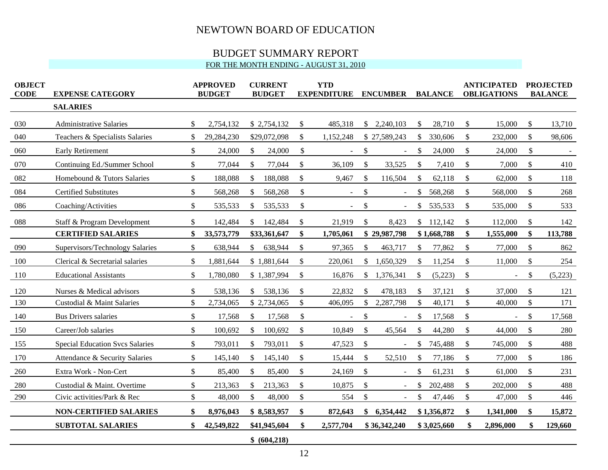# BUDGET SUMMARY REPORT

### FOR THE MONTH ENDING - AUGUST 31, 2010

| <b>OBJECT</b><br><b>CODE</b> | <b>EXPENSE CATEGORY</b>                | <b>APPROVED</b><br><b>BUDGET</b> |               | <b>CURRENT</b><br><b>BUDGET</b> |               | <b>YTD</b><br><b>EXPENDITURE</b> | <b>ENCUMBER</b> |                |              | <b>BALANCE</b> | <b>ANTICIPATED</b><br><b>OBLIGATIONS</b> |                | <b>PROJECTED</b><br><b>BALANCE</b> |         |
|------------------------------|----------------------------------------|----------------------------------|---------------|---------------------------------|---------------|----------------------------------|-----------------|----------------|--------------|----------------|------------------------------------------|----------------|------------------------------------|---------|
|                              | <b>SALARIES</b>                        |                                  |               |                                 |               |                                  |                 |                |              |                |                                          |                |                                    |         |
| 030                          | <b>Administrative Salaries</b>         | \$<br>2,754,132                  |               | \$2,754,132                     | \$            | 485,318                          |                 | \$2,240,103    | \$           | 28,710         | \$                                       | 15,000         | $\mathcal{S}$                      | 13,710  |
| 040                          | Teachers & Specialists Salaries        | \$<br>29,284,230                 |               | \$29,072,098                    | \$            | 1,152,248                        |                 | \$27,589,243   | \$           | 330,606        | \$                                       | 232,000        | \$                                 | 98,606  |
| 060                          | <b>Early Retirement</b>                | \$<br>24,000                     | $\mathcal{S}$ | 24,000                          | \$            |                                  | \$              | $\blacksquare$ | $\sqrt$      | 24,000         | \$                                       | 24,000         | \$                                 |         |
| 070                          | Continuing Ed./Summer School           | \$<br>77,044                     | $\mathbb{S}$  | 77,044                          | \$            | 36,109                           | \$              | 33,525         | \$           | 7,410          | \$                                       | 7,000          | \$                                 | 410     |
| 082                          | Homebound & Tutors Salaries            | \$<br>188,088                    | \$            | 188,088                         | $\mathbb{S}$  | 9,467                            | $\mathbb{S}$    | 116,504        | \$           | 62,118         | \$                                       | 62,000         | \$                                 | 118     |
| 084                          | <b>Certified Substitutes</b>           | \$<br>568,268                    | \$            | 568,268                         | \$            | $\blacksquare$                   | \$              | $\sim$         | \$           | 568,268        | \$                                       | 568,000        | \$                                 | 268     |
| 086                          | Coaching/Activities                    | \$<br>535,533                    | \$            | 535,533                         | \$            | $\blacksquare$                   | \$              | $\blacksquare$ | \$           | 535,533        | \$                                       | 535,000        | \$                                 | 533     |
| 088                          | Staff & Program Development            | \$<br>142,484                    | <sup>\$</sup> | 142,484                         | $\mathcal{L}$ | 21,919                           | $\mathcal{L}$   | 8,423          |              | \$112,142      | \$                                       | 112,000        | \$                                 | 142     |
|                              | <b>CERTIFIED SALARIES</b>              | \$<br>33,573,779                 |               | \$33,361,647                    | \$            | 1,705,061                        |                 | \$29,987,798   |              | \$1,668,788    | \$                                       | 1,555,000      | \$                                 | 113,788 |
| 090                          | Supervisors/Technology Salaries        | \$<br>638,944                    | \$            | 638,944                         | $\$\$         | 97,365                           | $\mathbb{S}$    | 463,717        | \$           | 77,862         | \$                                       | 77,000         | $\boldsymbol{\mathsf{S}}$          | 862     |
| 100                          | Clerical & Secretarial salaries        | \$<br>1,881,644                  |               | \$1,881,644                     | \$            | 220,061                          | $\mathbb{S}$    | 1,650,329      | \$           | 11,254         | \$                                       | 11,000         | \$                                 | 254     |
| 110                          | <b>Educational Assistants</b>          | \$<br>1,780,080                  |               | \$1,387,994                     | \$            | 16,876                           | \$              | 1,376,341      | \$           | (5,223)        | \$                                       | $\blacksquare$ | \$                                 | (5,223) |
| 120                          | Nurses & Medical advisors              | \$<br>538,136                    | \$            | 538,136                         | \$            | 22,832                           | $\mathbb{S}$    | 478,183        | S            | 37,121         | $\mathcal{S}$                            | 37,000         | S.                                 | 121     |
| 130                          | Custodial & Maint Salaries             | \$<br>2,734,065                  |               | \$2,734,065                     | \$            | 406,095                          | \$              | 2,287,798      | \$           | 40,171         | \$                                       | 40,000         | \$                                 | 171     |
| 140                          | <b>Bus Drivers salaries</b>            | \$<br>17,568                     | \$            | 17,568                          | \$            |                                  | $\$\,$          |                | \$           | 17,568         | \$                                       |                | \$                                 | 17,568  |
| 150                          | Career/Job salaries                    | \$<br>100,692                    | \$            | 100,692                         | \$            | 10,849                           | $\mathcal{S}$   | 45,564         | \$           | 44,280         | \$                                       | 44,000         | $\mathbb{S}$                       | 280     |
| 155                          | <b>Special Education Svcs Salaries</b> | \$<br>793,011                    | S.            | 793,011                         | $\$\$         | 47,523                           | \$              | $\sim$         | \$           | 745,488        | $\mathbb{S}$                             | 745,000        | $\mathbb{S}$                       | 488     |
| 170                          | Attendance & Security Salaries         | \$<br>145,140                    | \$            | 145,140                         | \$            | 15,444                           | \$              | 52,510         | $\mathbb{S}$ | 77,186         | \$                                       | 77,000         | \$                                 | 186     |
| 260                          | Extra Work - Non-Cert                  | \$<br>85,400                     | \$            | 85,400                          | \$            | 24,169                           | \$              | $\blacksquare$ | \$           | 61,231         | \$                                       | 61,000         | $\boldsymbol{\mathsf{S}}$          | 231     |
| 280                          | Custodial & Maint. Overtime            | \$<br>213,363                    | $\mathbb{S}$  | 213,363                         | \$            | 10,875                           | \$              |                | \$           | 202,488        | $\mathbb{S}$                             | 202,000        | $\mathbb{S}$                       | 488     |
| 290                          | Civic activities/Park & Rec            | \$<br>48,000                     | \$            | 48,000                          | \$            | 554                              | $\$\,$          | $\sim$         | \$           | 47,446         | \$                                       | 47,000         | $\boldsymbol{\mathsf{S}}$          | 446     |
|                              | <b>NON-CERTIFIED SALARIES</b>          | \$<br>8,976,043                  |               | \$8,583,957                     | \$            | 872,643                          | $\mathbf{\$}$   | 6,354,442      |              | \$1,356,872    | \$                                       | 1,341,000      | \$                                 | 15,872  |
|                              | <b>SUBTOTAL SALARIES</b>               | \$<br>42,549,822                 |               | \$41,945,604                    | \$            | 2,577,704                        |                 | \$36,342,240   |              | \$3,025,660    | S.                                       | 2,896,000      |                                    | 129,660 |
|                              |                                        |                                  |               | \$ (604,218)                    |               |                                  |                 |                |              |                |                                          |                |                                    |         |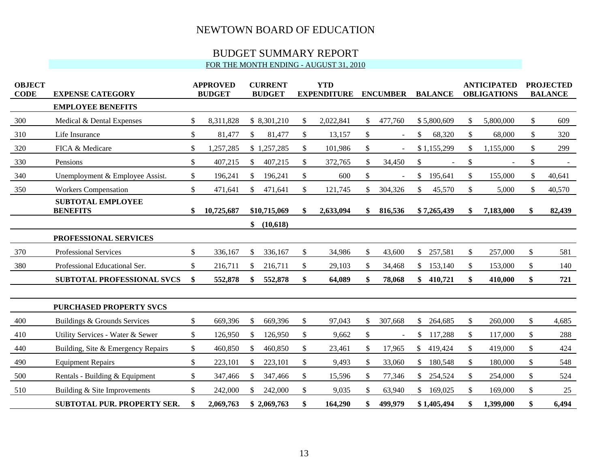# BUDGET SUMMARY REPORT

## FOR THE MONTH ENDING - AUGUST 31, 2010

| <b>OBJECT</b><br><b>CODE</b> | <b>EXPENSE CATEGORY</b>                     |    | <b>APPROVED</b><br><b>BUDGET</b> |    | <b>CURRENT</b><br><b>BUDGET</b> |              | <b>YTD</b><br><b>EXPENDITURE</b> |     | <b>ENCUMBER</b> |               | <b>BALANCE</b> | <b>ANTICIPATED</b><br><b>OBLIGATIONS</b> | <b>PROJECTED</b><br><b>BALANCE</b> |        |  |
|------------------------------|---------------------------------------------|----|----------------------------------|----|---------------------------------|--------------|----------------------------------|-----|-----------------|---------------|----------------|------------------------------------------|------------------------------------|--------|--|
|                              | <b>EMPLOYEE BENEFITS</b>                    |    |                                  |    |                                 |              |                                  |     |                 |               |                |                                          |                                    |        |  |
| 300                          | Medical & Dental Expenses                   | \$ | 8,311,828                        |    | \$8,301,210                     | \$           | 2,022,841                        | \$  | 477,760         |               | \$5,800,609    | \$<br>5,800,000                          | \$                                 | 609    |  |
| 310                          | Life Insurance                              | \$ | 81,477                           | \$ | 81,477                          | \$           | 13,157                           | \$  | $\sim$          | \$            | 68,320         | \$<br>68,000                             | \$                                 | 320    |  |
| 320                          | FICA & Medicare                             | \$ | 1,257,285                        |    | \$1,257,285                     | \$           | 101,986                          | \$  | $\sim$          |               | \$1,155,299    | \$<br>1,155,000                          | \$                                 | 299    |  |
| 330                          | Pensions                                    | \$ | 407,215                          | \$ | 407,215                         | $\mathbb{S}$ | 372,765                          | \$  | 34,450          | \$            |                | \$<br>$\overline{\phantom{a}}$           | \$                                 |        |  |
| 340                          | Unemployment & Employee Assist.             | \$ | 196,241                          | \$ | 196,241                         | \$           | 600                              | \$  |                 | $\mathcal{S}$ | 195,641        | \$<br>155,000                            | \$                                 | 40,641 |  |
| 350                          | <b>Workers Compensation</b>                 | \$ | 471,641                          | \$ | 471,641                         | $\mathbb{S}$ | 121,745                          | \$  | 304,326         | \$            | 45,570         | \$<br>5,000                              | \$                                 | 40,570 |  |
|                              | <b>SUBTOTAL EMPLOYEE</b><br><b>BENEFITS</b> | \$ | 10,725,687                       |    | \$10,715,069                    |              | 2,633,094                        | \$  | 816,536         |               | \$7,265,439    | 7,183,000                                |                                    | 82,439 |  |
|                              |                                             |    |                                  | \$ | (10,618)                        |              |                                  |     |                 |               |                |                                          |                                    |        |  |
|                              | PROFESSIONAL SERVICES                       |    |                                  |    |                                 |              |                                  |     |                 |               |                |                                          |                                    |        |  |
| 370                          | Professional Services                       | \$ | 336,167                          | \$ | 336,167                         | \$           | 34,986                           | \$  | 43,600          | $\mathcal{S}$ | 257,581        | \$<br>257,000                            | \$                                 | 581    |  |
| 380                          | Professional Educational Ser.               | \$ | 216,711                          | \$ | 216,711                         | \$           | 29,103                           | \$  | 34,468          | $\mathbb{S}$  | 153,140        | \$<br>153,000                            | \$                                 | 140    |  |
|                              | <b>SUBTOTAL PROFESSIONAL SVCS</b>           | \$ | 552,878                          | \$ | 552,878                         | \$           | 64,089                           | \$  | 78,068          | \$            | 410,721        | \$<br>410,000                            | \$                                 | 721    |  |
|                              | <b>PURCHASED PROPERTY SVCS</b>              |    |                                  |    |                                 |              |                                  |     |                 |               |                |                                          |                                    |        |  |
| 400                          | Buildings & Grounds Services                | \$ | 669,396                          | \$ | 669,396                         | \$           | 97,043                           | \$. | 307,668         | \$            | 264,685        | \$<br>260,000                            | \$                                 | 4,685  |  |
| 410                          | Utility Services - Water & Sewer            | \$ | 126,950                          | \$ | 126,950                         | \$           | 9,662                            | \$  |                 | \$            | 117,288        | \$<br>117,000                            | \$                                 | 288    |  |
| 440                          | Building, Site & Emergency Repairs          | \$ | 460,850                          | \$ | 460,850                         | \$           | 23,461                           | \$  | 17,965          | \$            | 419,424        | \$<br>419,000                            | \$                                 | 424    |  |
| 490                          | <b>Equipment Repairs</b>                    | \$ | 223,101                          | S. | 223,101                         | \$           | 9,493                            | \$  | 33,060          | \$            | 180,548        | \$<br>180,000                            | \$                                 | 548    |  |
| 500                          | Rentals - Building & Equipment              | \$ | 347,466                          | \$ | 347,466                         | \$           | 15,596                           | \$  | 77,346          |               | \$254,524      | \$<br>254,000                            | \$                                 | 524    |  |
| 510                          | Building & Site Improvements                | \$ | 242,000                          | \$ | 242,000                         | \$           | 9,035                            | \$  | 63,940          | $\mathbb{S}$  | 169,025        | \$<br>169,000                            | \$                                 | 25     |  |
|                              | <b>SUBTOTAL PUR. PROPERTY SER.</b>          | \$ | 2,069,763                        |    | \$2,069,763                     | \$           | 164,290                          | \$  | 499,979         |               | \$1,405,494    | \$<br>1,399,000                          | \$                                 | 6,494  |  |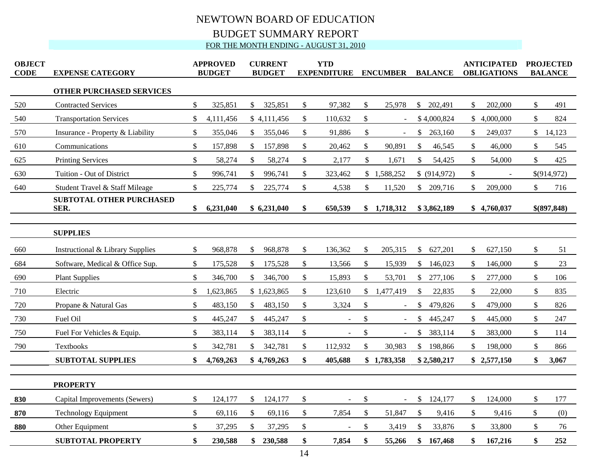# NEWTOWN BOARD OF EDUCATION BUDGET SUMMARY REPORT FOR THE MONTH ENDING - AUGUST 31, 2010

| <b>OBJECT</b><br><b>CODE</b> | <b>EXPENSE CATEGORY</b>                 | <b>APPROVED</b><br><b>BUDGET</b> |           | <b>CURRENT</b><br><b>BUDGET</b> |             | <b>YTD</b><br><b>EXPENDITURE</b> |         | <b>ENCUMBER</b> |                | <b>BALANCE</b> |              |               | <b>ANTICIPATED</b><br><b>OBLIGATIONS</b> | <b>PROJECTED</b><br><b>BALANCE</b> |              |  |
|------------------------------|-----------------------------------------|----------------------------------|-----------|---------------------------------|-------------|----------------------------------|---------|-----------------|----------------|----------------|--------------|---------------|------------------------------------------|------------------------------------|--------------|--|
|                              | <b>OTHER PURCHASED SERVICES</b>         |                                  |           |                                 |             |                                  |         |                 |                |                |              |               |                                          |                                    |              |  |
| 520                          | <b>Contracted Services</b>              | \$                               | 325,851   | \$                              | 325,851     | $\$$                             | 97,382  | \$              | 25,978         | \$             | 202,491      | \$            | 202,000                                  | \$                                 | 491          |  |
| 540                          | <b>Transportation Services</b>          | \$                               | 4,111,456 |                                 | \$4,111,456 | \$                               | 110,632 | \$              | $\blacksquare$ |                | \$4,000,824  |               | \$4,000,000                              | \$                                 | 824          |  |
| 570                          | Insurance - Property & Liability        | \$                               | 355,046   | $\mathbb{S}$                    | 355,046     | \$                               | 91,886  | \$              | $\overline{a}$ | \$             | 263,160      | \$.           | 249,037                                  | \$                                 | 14,123       |  |
| 610                          | Communications                          | \$                               | 157,898   | $\mathcal{S}$                   | 157,898     | $\mathsf{\$}$                    | 20,462  | \$              | 90,891         | \$             | 46,545       | $\mathbb{S}$  | 46,000                                   | $\mathbb{S}$                       | 545          |  |
| 625                          | <b>Printing Services</b>                | \$                               | 58,274    | \$                              | 58,274      | \$                               | 2,177   | $\mathcal{S}$   | 1,671          | $\mathcal{S}$  | 54,425       | \$            | 54,000                                   | \$                                 | 425          |  |
| 630                          | Tuition - Out of District               | \$                               | 996,741   | \$                              | 996,741     | \$                               | 323,462 |                 | \$1,588,252    |                | \$ (914,972) | \$            |                                          |                                    | \$(914, 972) |  |
| 640                          | Student Travel & Staff Mileage          | $\mathbb{S}$                     | 225,774   | \$                              | 225,774     | \$                               | 4,538   | $\mathbb{S}$    | 11,520         | $\mathbb{S}$   | 209,716      | \$            | 209,000                                  | \$                                 | 716          |  |
|                              | <b>SUBTOTAL OTHER PURCHASED</b><br>SER. | \$                               | 6,231,040 |                                 | \$6,231,040 | \$                               | 650,539 |                 | \$1,718,312    |                | \$3,862,189  |               | \$4,760,037                              |                                    | \$(897,848)  |  |
|                              | <b>SUPPLIES</b>                         |                                  |           |                                 |             |                                  |         |                 |                |                |              |               |                                          |                                    |              |  |
| 660                          | Instructional & Library Supplies        | \$                               | 968,878   | \$                              | 968,878     | \$                               | 136,362 | \$              | 205,315        | \$             | 627,201      | \$            | 627,150                                  | \$                                 | 51           |  |
| 684                          | Software, Medical & Office Sup.         | \$                               | 175,528   | \$                              | 175,528     | \$                               | 13,566  | \$              | 15,939         | $\mathbb{S}$   | 146,023      | S.            | 146,000                                  | \$                                 | 23           |  |
| 690                          | <b>Plant Supplies</b>                   | \$                               | 346,700   | \$                              | 346,700     | \$                               | 15,893  | \$              | 53,701         | \$             | 277,106      |               | 277,000                                  | \$                                 | 106          |  |
| 710                          | Electric                                | $\mathbb{S}$                     | 1,623,865 |                                 | \$1,623,865 | $\mathbb{S}$                     | 123,610 | $\mathbb{S}$    | 1,477,419      | $\mathbb{S}$   | 22,835       | \$            | 22,000                                   | $\mathbb{S}$                       | 835          |  |
| 720                          | Propane & Natural Gas                   | \$                               | 483,150   | \$                              | 483,150     | \$                               | 3,324   | \$              | $\blacksquare$ | \$             | 479,826      | $\mathbb{S}$  | 479,000                                  | \$                                 | 826          |  |
| 730                          | Fuel Oil                                | \$                               | 445,247   | \$                              | 445,247     | \$                               | $\sim$  | \$              | $\blacksquare$ | \$             | 445,247      |               | 445,000                                  | \$                                 | 247          |  |
| 750                          | Fuel For Vehicles & Equip.              | \$                               | 383,114   | $\mathcal{S}$                   | 383,114     | \$                               |         | \$              |                | \$             | 383,114      | <sup>\$</sup> | 383,000                                  | $\mathbb{S}$                       | 114          |  |
| 790                          | Textbooks                               | \$                               | 342,781   | \$                              | 342,781     | \$                               | 112,932 | \$              | 30,983         |                | \$198,866    | \$            | 198,000                                  | \$                                 | 866          |  |
|                              | <b>SUBTOTAL SUPPLIES</b>                | \$                               | 4,769,263 |                                 | \$4,769,263 | \$                               | 405,688 |                 | \$1,783,358    |                | \$2,580,217  |               | \$2,577,150                              | \$                                 | 3,067        |  |
|                              | <b>PROPERTY</b>                         |                                  |           |                                 |             |                                  |         |                 |                |                |              |               |                                          |                                    |              |  |
| 830                          | Capital Improvements (Sewers)           | \$                               | 124,177   | \$                              | 124,177     | \$                               | $\sim$  | \$              | $\blacksquare$ | $\mathbb{S}$   | 124,177      | \$            | 124,000                                  | \$                                 | 177          |  |
| 870                          | <b>Technology Equipment</b>             | \$                               | 69,116    | \$                              | 69,116      | \$                               | 7,854   | \$              | 51,847         | \$             | 9,416        | \$            | 9,416                                    | \$                                 | (0)          |  |
| 880                          | Other Equipment                         | \$                               | 37,295    | $\mathbb{S}$                    | 37,295      | \$                               |         | \$              | 3,419          | \$             | 33,876       | \$            | 33,800                                   | \$                                 | 76           |  |
|                              | <b>SUBTOTAL PROPERTY</b>                | \$                               | 230,588   | \$                              | 230,588     | \$                               | 7,854   | \$              | 55,266         |                | \$167,468    | \$            | 167,216                                  | \$                                 | 252          |  |